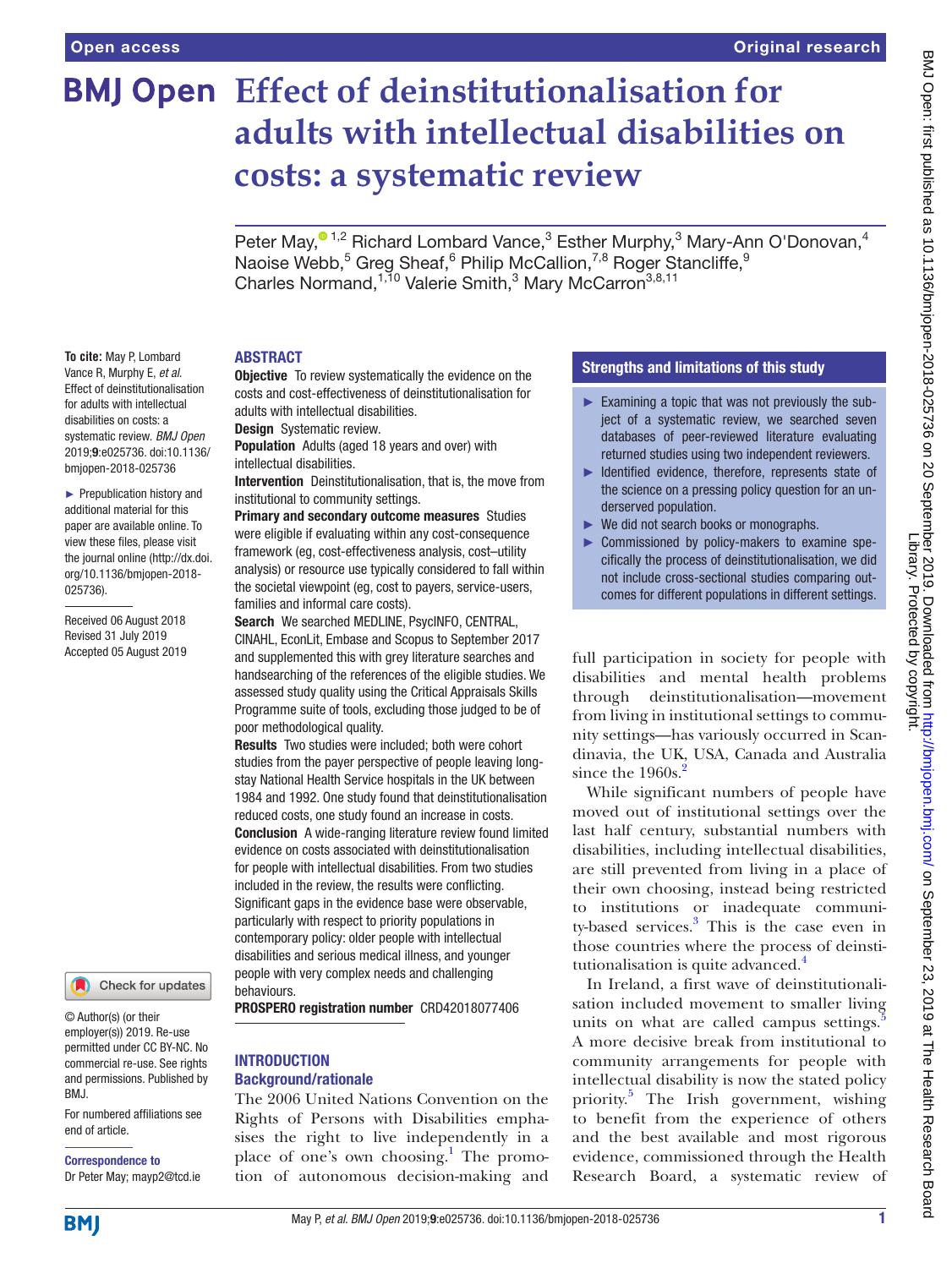**To cite:** May P, Lombard Vance R, Murphy E, *et al*. Effect of deinstitutionalisation for adults with intellectual disabilities on costs: a systematic review. *BMJ Open* 2019;9:e025736. doi:10.1136/ bmjopen-2018-025736 ► Prepublication history and additional material for this paper are available online. To view these files, please visit the journal online (http://dx.doi. org/10.1136/bmjopen-2018-

025736).

Received 06 August 2018 Revised 31 July 2019 Accepted 05 August 2019

# **EXALUTE: Example 1 For DFF ESSIMULTE: EXALUTE: EXALUTE: EXALUTE: EXALUTE: EXALUTE: EXALUTE: EXALUTE: EXALUTE: EXALUTE: EXALUTE: EXALUTE: EXALUTE: EXALUTE: EXALUTE: EXALUTE: EXALUTE: EXA adults with intellectual disabilities on costs: a systematic review**

Peter May[,](http://orcid.org/0000-0001-8501-6500)<sup>® 1,2</sup> Richard Lombard Vance,<sup>3</sup> Esther Murphy,<sup>3</sup> Mary-Ann O'Donovan,<sup>4</sup> Naoise Webb,<sup>5</sup> Greg Sheaf,<sup>6</sup> Philip McCallion,<sup>7,8</sup> Roger Stancliffe,<sup>9</sup> Charles Normand,<sup>1,10</sup> Valerie Smith,<sup>3</sup> Mary McCarron<sup>3,8,11</sup>

## **ABSTRACT**

**Objective** To review systematically the evidence on the costs and cost-effectiveness of deinstitutionalisation for adults with intellectual disabilities.

Design Systematic review.

Population Adults (aged 18 years and over) with intellectual disabilities.

Intervention Deinstitutionalisation, that is, the move from institutional to community settings.

Primary and secondary outcome measures Studies were eligible if evaluating within any cost-consequence framework (eg, cost-effectiveness analysis, cost–utility analysis) or resource use typically considered to fall within the societal viewpoint (eg, cost to payers, service-users, families and informal care costs).

Search We searched MEDLINE, PsycINFO, CENTRAL, CINAHL, EconLit, Embase and Scopus to September 2017 and supplemented this with grey literature searches and handsearching of the references of the eligible studies. We assessed study quality using the Critical Appraisals Skills Programme suite of tools, excluding those judged to be of poor methodological quality.

Results Two studies were included; both were cohort studies from the payer perspective of people leaving longstay National Health Service hospitals in the UK between 1984 and 1992. One study found that deinstitutionalisation reduced costs, one study found an increase in costs. Conclusion A wide-ranging literature review found limited evidence on costs associated with deinstitutionalisation for people with intellectual disabilities. From two studies included in the review, the results were conflicting. Significant gaps in the evidence base were observable, particularly with respect to priority populations in contemporary policy: older people with intellectual disabilities and serious medical illness, and younger people with very complex needs and challenging behaviours.

PROSPERO registration number CRD42018077406

## **INTRODUCTION** Background/rationale

The 2006 United Nations Convention on the Rights of Persons with Disabilities emphasises the right to live independently in a place of one's own choosing.<sup>[1](#page-8-0)</sup> The promotion of autonomous decision-making and

# Strengths and limitations of this study

- ► Examining a topic that was not previously the subject of a systematic review, we searched seven databases of peer-reviewed literature evaluating returned studies using two independent reviewers.
- ► Identified evidence, therefore, represents state of the science on a pressing policy question for an underserved population.
- ► We did not search books or monographs.
- ► Commissioned by policy-makers to examine specifically the process of deinstitutionalisation, we did not include cross-sectional studies comparing outcomes for different populations in different settings.

full participation in society for people with disabilities and mental health problems through deinstitutionalisation—movement from living in institutional settings to community settings—has variously occurred in Scandinavia, the UK, USA, Canada and Australia since the  $1960s$ .<sup>[2](#page-8-1)</sup>

While significant numbers of people have moved out of institutional settings over the last half century, substantial numbers with disabilities, including intellectual disabilities, are still prevented from living in a place of their own choosing, instead being restricted to institutions or inadequate communi-ty-based services.<sup>[3](#page-8-2)</sup> This is the case even in those countries where the process of deinsti-tutionalisation is quite advanced.<sup>[4](#page-8-3)</sup>

In Ireland, a first wave of deinstitutionalisation included movement to smaller living units on what are called campus settings.<sup>[5](#page-8-4)</sup> A more decisive break from institutional to community arrangements for people with intellectual disability is now the stated policy priority.<sup>[5](#page-8-4)</sup> The Irish government, wishing to benefit from the experience of others and the best available and most rigorous evidence, commissioned through the Health Research Board, a systematic review of

© Author(s) (or their employer(s)) 2019. Re-use

permitted under CC BY-NC. No commercial re-use. See rights and permissions. Published by RM<sub>J</sub>

Check for updates

For numbered affiliations see end of article.

Correspondence to Dr Peter May; mayp2@tcd.ie

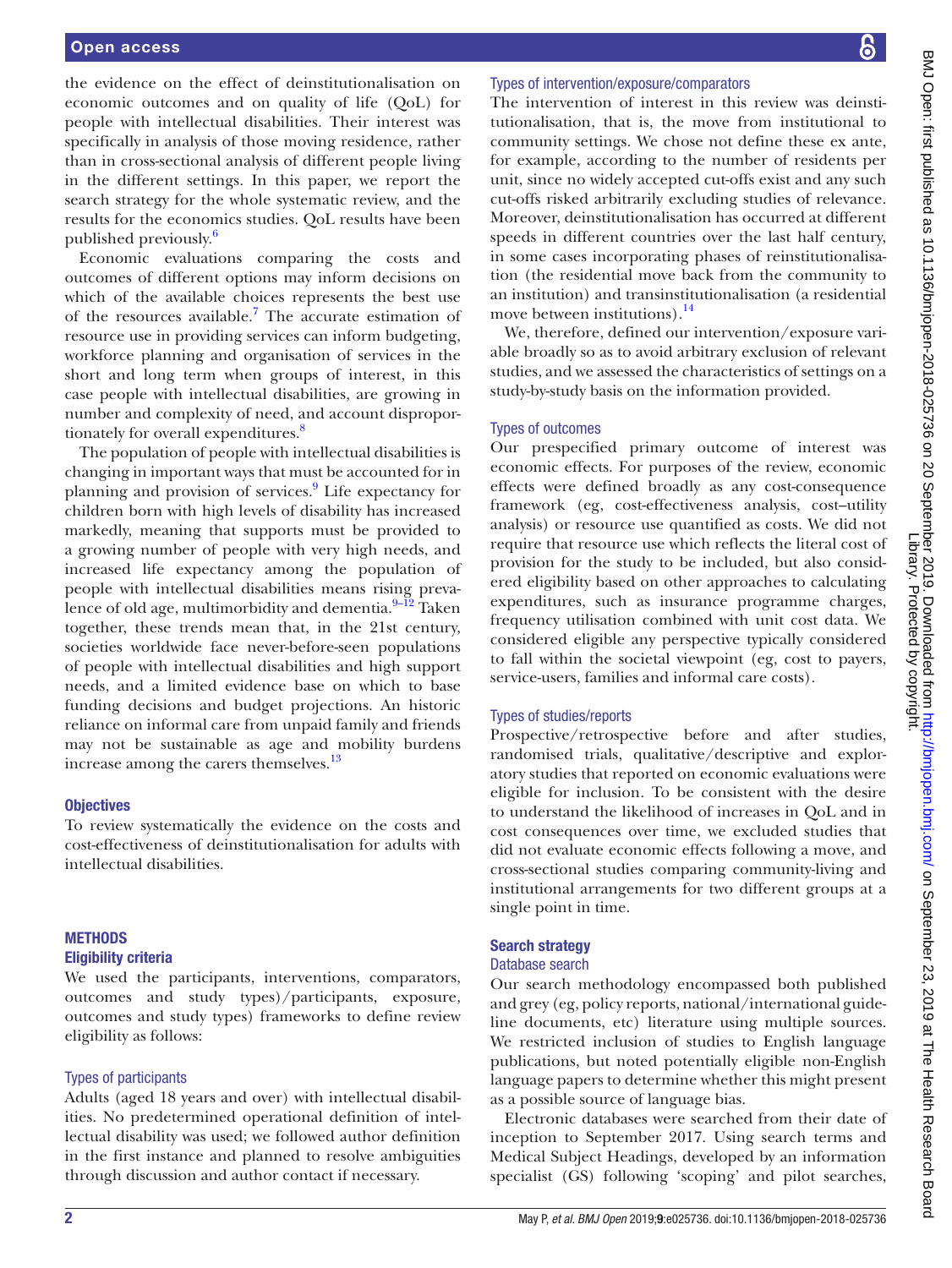the evidence on the effect of deinstitutionalisation on economic outcomes and on quality of life (QoL) for people with intellectual disabilities. Their interest was specifically in analysis of those moving residence, rather than in cross-sectional analysis of different people living in the different settings. In this paper, we report the search strategy for the whole systematic review, and the results for the economics studies. QoL results have been published previously.<sup>[6](#page-8-5)</sup>

Economic evaluations comparing the costs and outcomes of different options may inform decisions on which of the available choices represents the best use of the resources available.<sup>[7](#page-8-6)</sup> The accurate estimation of resource use in providing services can inform budgeting, workforce planning and organisation of services in the short and long term when groups of interest, in this case people with intellectual disabilities, are growing in number and complexity of need, and account dispropor-tionately for overall expenditures.<sup>[8](#page-8-7)</sup>

The population of people with intellectual disabilities is changing in important ways that must be accounted for in planning and provision of services.<sup>[9](#page-8-8)</sup> Life expectancy for children born with high levels of disability has increased markedly, meaning that supports must be provided to a growing number of people with very high needs, and increased life expectancy among the population of people with intellectual disabilities means rising prevalence of old age, multimorbidity and dementia.<sup>9-12</sup> Taken together, these trends mean that, in the 21st century, societies worldwide face never-before-seen populations of people with intellectual disabilities and high support needs, and a limited evidence base on which to base funding decisions and budget projections. An historic reliance on informal care from unpaid family and friends may not be sustainable as age and mobility burdens increase among the carers themselves.<sup>[13](#page-8-9)</sup>

#### **Objectives**

To review systematically the evidence on the costs and cost-effectiveness of deinstitutionalisation for adults with intellectual disabilities.

#### **METHODS**

#### Eligibility criteria

We used the participants, interventions, comparators, outcomes and study types)/participants, exposure, outcomes and study types) frameworks to define review eligibility as follows:

## Types of participants

Adults (aged 18 years and over) with intellectual disabilities. No predetermined operational definition of intellectual disability was used; we followed author definition in the first instance and planned to resolve ambiguities through discussion and author contact if necessary.

# Types of intervention/exposure/comparators

The intervention of interest in this review was deinstitutionalisation, that is, the move from institutional to community settings. We chose not define these ex ante, for example, according to the number of residents per unit, since no widely accepted cut-offs exist and any such cut-offs risked arbitrarily excluding studies of relevance. Moreover, deinstitutionalisation has occurred at different speeds in different countries over the last half century, in some cases incorporating phases of reinstitutionalisation (the residential move back from the community to an institution) and transinstitutionalisation (a residential move between institutions).<sup>14</sup>

We, therefore, defined our intervention/exposure variable broadly so as to avoid arbitrary exclusion of relevant studies, and we assessed the characteristics of settings on a study-by-study basis on the information provided.

#### Types of outcomes

Our prespecified primary outcome of interest was economic effects. For purposes of the review, economic effects were defined broadly as any cost-consequence framework (eg, cost-effectiveness analysis, cost–utility analysis) or resource use quantified as costs. We did not require that resource use which reflects the literal cost of provision for the study to be included, but also considered eligibility based on other approaches to calculating expenditures, such as insurance programme charges, frequency utilisation combined with unit cost data. We considered eligible any perspective typically considered to fall within the societal viewpoint (eg, cost to payers, service-users, families and informal care costs).

## Types of studies/reports

Prospective/retrospective before and after studies, randomised trials, qualitative/descriptive and exploratory studies that reported on economic evaluations were eligible for inclusion. To be consistent with the desire to understand the likelihood of increases in QoL and in cost consequences over time, we excluded studies that did not evaluate economic effects following a move, and cross-sectional studies comparing community-living and institutional arrangements for two different groups at a single point in time.

# Search strategy

#### Database search

Our search methodology encompassed both published and grey (eg, policy reports, national/international guideline documents, etc) literature using multiple sources. We restricted inclusion of studies to English language publications, but noted potentially eligible non-English language papers to determine whether this might present as a possible source of language bias.

Electronic databases were searched from their date of inception to September 2017. Using search terms and Medical Subject Headings, developed by an information specialist (GS) following 'scoping' and pilot searches,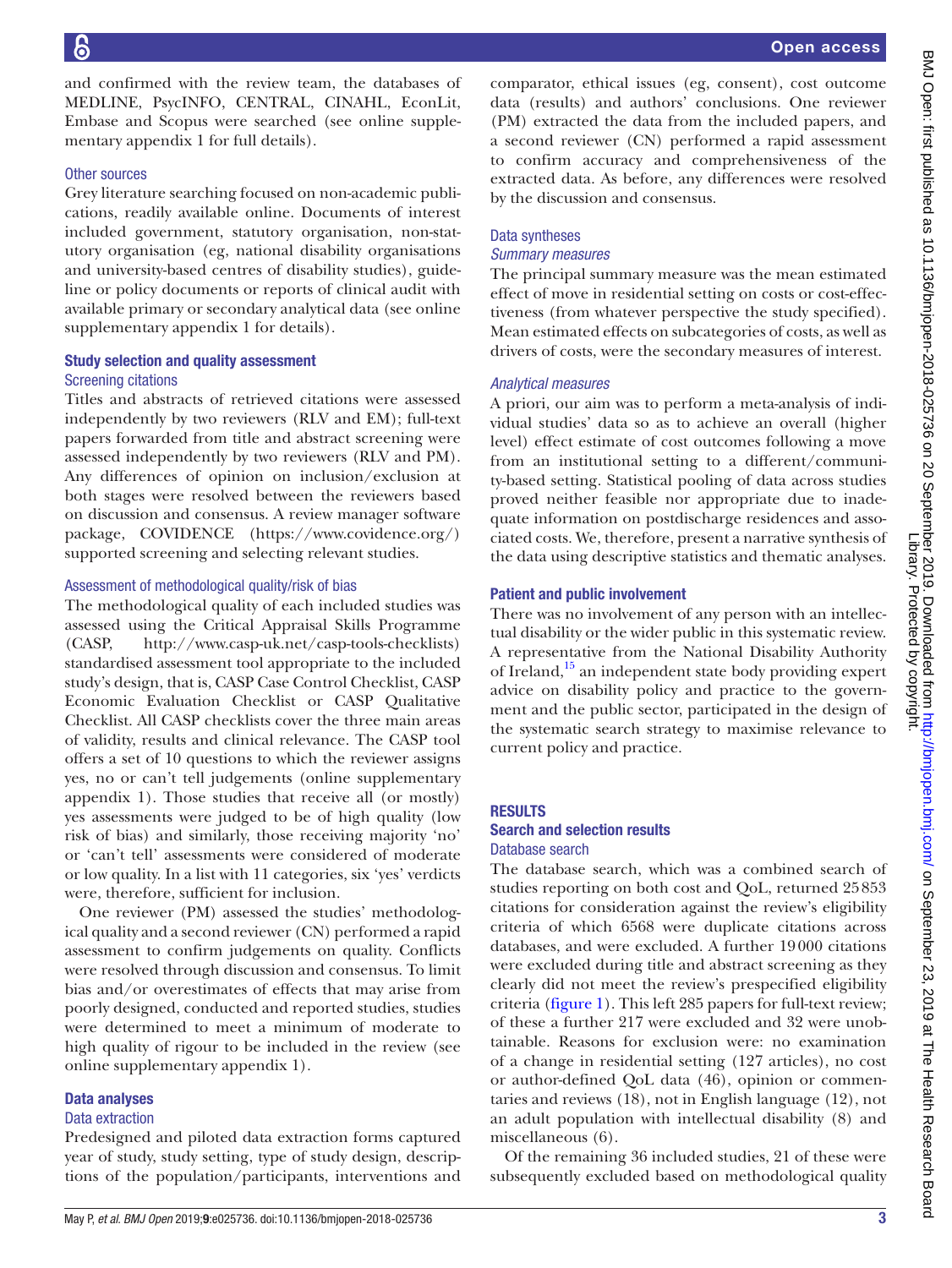and confirmed with the review team, the databases of MEDLINE, PsycINFO, CENTRAL, CINAHL, EconLit, Embase and Scopus were searched (see [online supple](https://dx.doi.org/10.1136/bmjopen-2018-025736)[mentary appendix 1](https://dx.doi.org/10.1136/bmjopen-2018-025736) for full details).

# Other sources

Grey literature searching focused on non-academic publications, readily available online. Documents of interest included government, statutory organisation, non-statutory organisation (eg, national disability organisations and university-based centres of disability studies), guideline or policy documents or reports of clinical audit with available primary or secondary analytical data (see [online](https://dx.doi.org/10.1136/bmjopen-2018-025736) [supplementary appendix 1](https://dx.doi.org/10.1136/bmjopen-2018-025736) for details).

# Study selection and quality assessment

# Screening citations

Titles and abstracts of retrieved citations were assessed independently by two reviewers (RLV and EM); full-text papers forwarded from title and abstract screening were assessed independently by two reviewers (RLV and PM). Any differences of opinion on inclusion/exclusion at both stages were resolved between the reviewers based on discussion and consensus. A review manager software package, COVIDENCE [\(https://www.covidence.org/\)](https://www.covidence.org/) supported screening and selecting relevant studies.

# Assessment of methodological quality/risk of bias

The methodological quality of each included studies was assessed using the Critical Appraisal Skills Programme (CASP, [http://www.casp-uk.net/casp-tools-checklists\)](http://www.casp-uk.net/casp-tools-checklists) standardised assessment tool appropriate to the included study's design, that is, CASP Case Control Checklist, CASP Economic Evaluation Checklist or CASP Qualitative Checklist. All CASP checklists cover the three main areas of validity, results and clinical relevance. The CASP tool offers a set of 10 questions to which the reviewer assigns yes, no or can't tell judgements [\(online supplementary](https://dx.doi.org/10.1136/bmjopen-2018-025736) [appendix 1](https://dx.doi.org/10.1136/bmjopen-2018-025736)). Those studies that receive all (or mostly) yes assessments were judged to be of high quality (low risk of bias) and similarly, those receiving majority 'no' or 'can't tell' assessments were considered of moderate or low quality. In a list with 11 categories, six 'yes' verdicts were, therefore, sufficient for inclusion.

One reviewer (PM) assessed the studies' methodological quality and a second reviewer (CN) performed a rapid assessment to confirm judgements on quality. Conflicts were resolved through discussion and consensus. To limit bias and/or overestimates of effects that may arise from poorly designed, conducted and reported studies, studies were determined to meet a minimum of moderate to high quality of rigour to be included in the review (see [online supplementary appendix 1\)](https://dx.doi.org/10.1136/bmjopen-2018-025736).

# Data analyses

# Data extraction

Predesigned and piloted data extraction forms captured year of study, study setting, type of study design, descriptions of the population/participants, interventions and

comparator, ethical issues (eg, consent), cost outcome data (results) and authors' conclusions. One reviewer (PM) extracted the data from the included papers, and a second reviewer (CN) performed a rapid assessment to confirm accuracy and comprehensiveness of the extracted data. As before, any differences were resolved by the discussion and consensus.

# Data syntheses

## *Summary measures*

The principal summary measure was the mean estimated effect of move in residential setting on costs or cost-effectiveness (from whatever perspective the study specified). Mean estimated effects on subcategories of costs, as well as drivers of costs, were the secondary measures of interest.

# *Analytical measures*

A priori, our aim was to perform a meta-analysis of individual studies' data so as to achieve an overall (higher level) effect estimate of cost outcomes following a move from an institutional setting to a different/community-based setting. Statistical pooling of data across studies proved neither feasible nor appropriate due to inadequate information on postdischarge residences and associated costs. We, therefore, present a narrative synthesis of the data using descriptive statistics and thematic analyses.

# Patient and public involvement

There was no involvement of any person with an intellectual disability or the wider public in this systematic review. A representative from the National Disability Authority of Ireland,<sup>15</sup> an independent state body providing expert advice on disability policy and practice to the government and the public sector, participated in the design of the systematic search strategy to maximise relevance to current policy and practice.

# **RESULTS** Search and selection results Database search

The database search, which was a combined search of studies reporting on both cost and QoL, returned 25853 citations for consideration against the review's eligibility criteria of which 6568 were duplicate citations across databases, and were excluded. A further 19000 citations were excluded during title and abstract screening as they clearly did not meet the review's prespecified eligibility criteria ([figure](#page-3-0) 1). This left 285 papers for full-text review; of these a further 217 were excluded and 32 were unobtainable. Reasons for exclusion were: no examination of a change in residential setting (127 articles), no cost or author-defined QoL data (46), opinion or commentaries and reviews (18), not in English language (12), not an adult population with intellectual disability (8) and miscellaneous (6).

Of the remaining 36 included studies, 21 of these were subsequently excluded based on methodological quality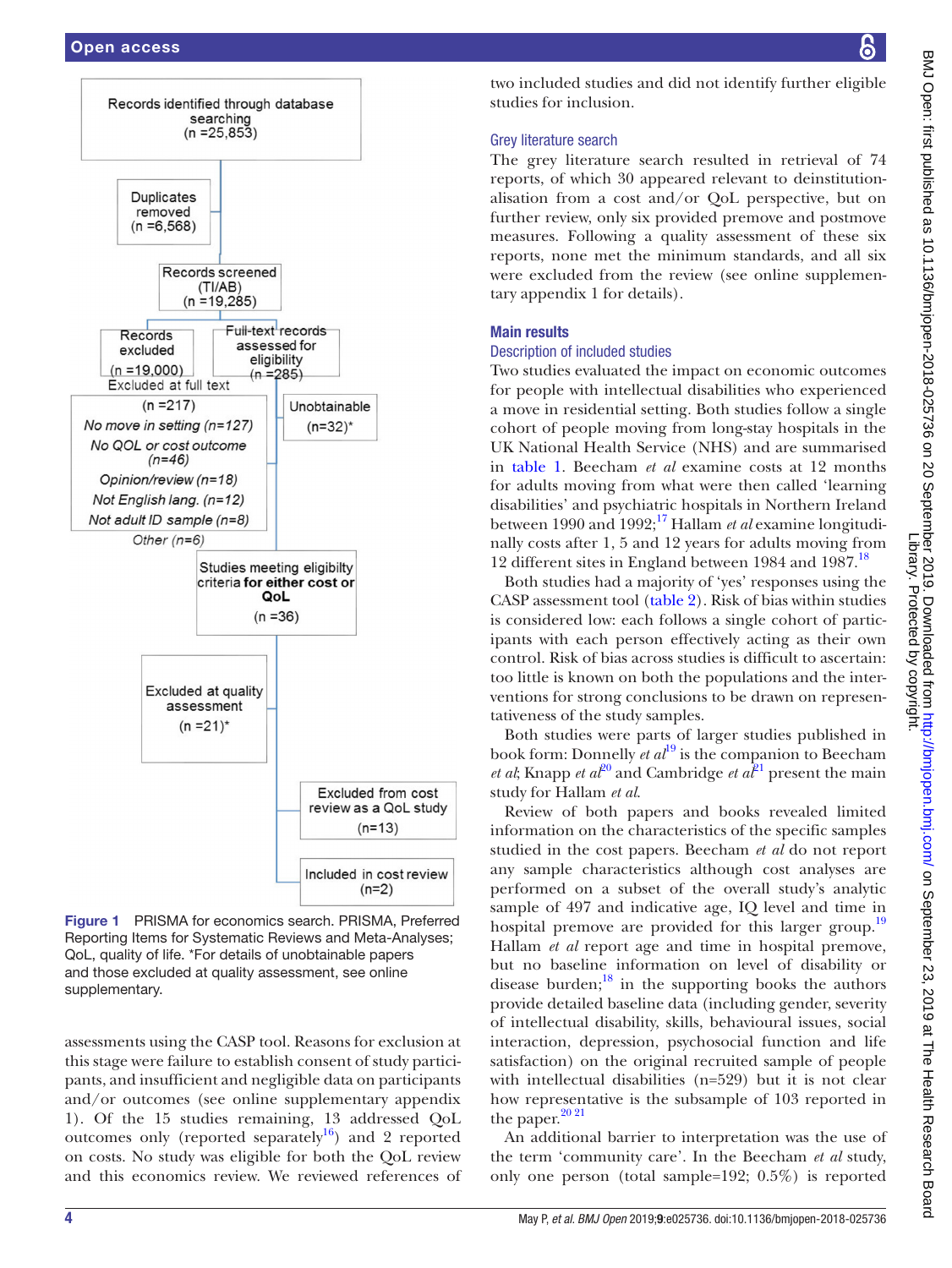

<span id="page-3-0"></span>Figure 1 PRISMA for economics search. PRISMA, Preferred Reporting Items for Systematic Reviews and Meta-Analyses; QoL, quality of life. \*For details of unobtainable papers and those excluded at quality assessment, see [online](https://dx.doi.org/10.1136/bmjopen-2018-025736)  [supplementary.](https://dx.doi.org/10.1136/bmjopen-2018-025736)

assessments using the CASP tool. Reasons for exclusion at this stage were failure to establish consent of study participants, and insufficient and negligible data on participants and/or outcomes (see [online supplementary appendix](https://dx.doi.org/10.1136/bmjopen-2018-025736) [1\)](https://dx.doi.org/10.1136/bmjopen-2018-025736). Of the 15 studies remaining, 13 addressed QoL outcomes only (reported separately<sup>16</sup>) and 2 reported on costs. No study was eligible for both the QoL review and this economics review. We reviewed references of

two included studies and did not identify further eligible studies for inclusion.

## Grey literature search

The grey literature search resulted in retrieval of 74 reports, of which 30 appeared relevant to deinstitutionalisation from a cost and/or QoL perspective, but on further review, only six provided premove and postmove measures. Following a quality assessment of these six reports, none met the minimum standards, and all six were excluded from the review (see [online supplemen](https://dx.doi.org/10.1136/bmjopen-2018-025736)[tary appendix 1](https://dx.doi.org/10.1136/bmjopen-2018-025736) for details).

## Main results

## Description of included studies

Two studies evaluated the impact on economic outcomes for people with intellectual disabilities who experienced a move in residential setting. Both studies follow a single cohort of people moving from long-stay hospitals in the UK National Health Service (NHS) and are summarised in [table](#page-4-0) 1. Beecham *et al* examine costs at 12 months for adults moving from what were then called 'learning disabilities' and psychiatric hospitals in Northern Ireland between 1990 and 1992;<sup>17</sup> Hallam *et al* examine longitudinally costs after 1, 5 and 12 years for adults moving from 12 different sites in England between 1984 and 1987.<sup>18</sup>

Both studies had a majority of 'yes' responses using the CASP assessment tool ([table](#page-5-0) 2). Risk of bias within studies is considered low: each follows a single cohort of participants with each person effectively acting as their own control. Risk of bias across studies is difficult to ascertain: too little is known on both the populations and the interventions for strong conclusions to be drawn on representativeness of the study samples.

Both studies were parts of larger studies published in book form: Donnelly *et al*<sup>[19](#page-8-15)</sup> is the companion to Beecham *et al*; Knapp *et al*<sup>20</sup> and Cambridge *et al*<sup>[21](#page-8-17)</sup> present the main study for Hallam *et al*.

Review of both papers and books revealed limited information on the characteristics of the specific samples studied in the cost papers. Beecham *et al* do not report any sample characteristics although cost analyses are performed on a subset of the overall study's analytic sample of 497 and indicative age, IQ level and time in hospital premove are provided for this larger group.<sup>[19](#page-8-15)</sup> Hallam *et al* report age and time in hospital premove, but no baseline information on level of disability or disease burden; $^{18}$  in the supporting books the authors provide detailed baseline data (including gender, severity of intellectual disability, skills, behavioural issues, social interaction, depression, psychosocial function and life satisfaction) on the original recruited sample of people with intellectual disabilities (n=529) but it is not clear how representative is the subsample of 103 reported in the paper.<sup>[20 21](#page-8-16)</sup>

An additional barrier to interpretation was the use of the term 'community care'. In the Beecham *et al* study, only one person (total sample=192; 0.5%) is reported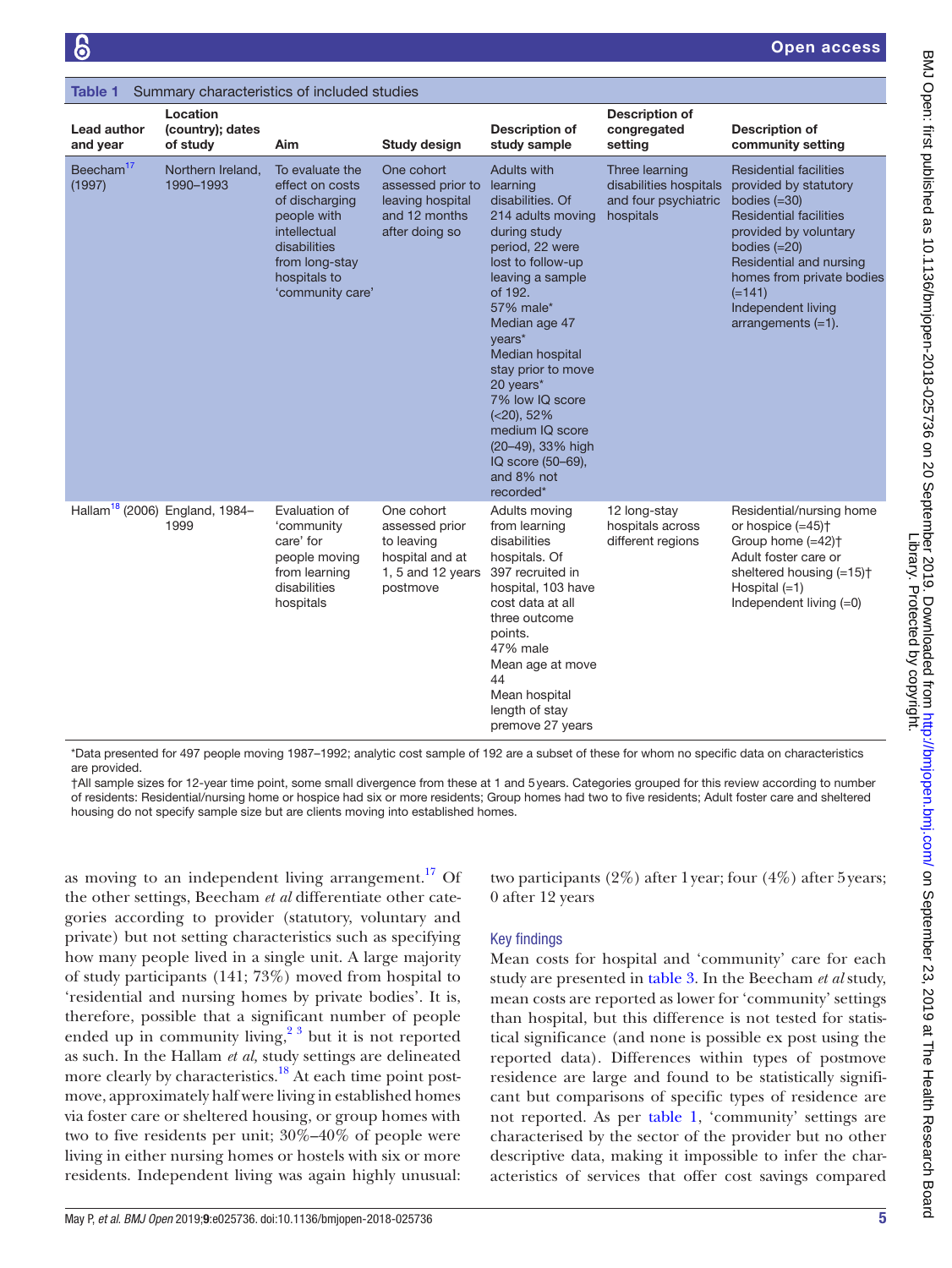<span id="page-4-0"></span>

| Table 1<br>Summary characteristics of included studies |                                                    |                                                                                                                                                           |                                                                                                |                                                                                                                                                                                                                                                                                                                                                                                                      |                                                                               |                                                                                                                                                                                                                                                                         |  |
|--------------------------------------------------------|----------------------------------------------------|-----------------------------------------------------------------------------------------------------------------------------------------------------------|------------------------------------------------------------------------------------------------|------------------------------------------------------------------------------------------------------------------------------------------------------------------------------------------------------------------------------------------------------------------------------------------------------------------------------------------------------------------------------------------------------|-------------------------------------------------------------------------------|-------------------------------------------------------------------------------------------------------------------------------------------------------------------------------------------------------------------------------------------------------------------------|--|
| <b>Lead author</b><br>and year                         | Location<br>(country); dates<br>of study           | Aim                                                                                                                                                       | Study design                                                                                   | <b>Description of</b><br>study sample                                                                                                                                                                                                                                                                                                                                                                | <b>Description of</b><br>congregated<br>setting                               | <b>Description of</b><br>community setting                                                                                                                                                                                                                              |  |
| Beecham <sup>17</sup><br>(1997)                        | Northern Ireland,<br>1990-1993                     | To evaluate the<br>effect on costs<br>of discharging<br>people with<br>intellectual<br>disabilities<br>from long-stay<br>hospitals to<br>'community care' | One cohort<br>assessed prior to<br>leaving hospital<br>and 12 months<br>after doing so         | <b>Adults with</b><br>learning<br>disabilities. Of<br>214 adults moving<br>during study<br>period, 22 were<br>lost to follow-up<br>leaving a sample<br>of 192.<br>57% male*<br>Median age 47<br>years*<br>Median hospital<br>stay prior to move<br>20 years*<br>7% low IQ score<br>( <b>20</b> ), <b>52%</b><br>medium IQ score<br>(20-49), 33% high<br>IQ score (50-69),<br>and 8% not<br>recorded* | Three learning<br>disabilities hospitals<br>and four psychiatric<br>hospitals | <b>Residential facilities</b><br>provided by statutory<br>bodies $(=30)$<br><b>Residential facilities</b><br>provided by voluntary<br>bodies $(=20)$<br>Residential and nursing<br>homes from private bodies<br>$(=141)$<br>Independent living<br>arrangements $(=1)$ . |  |
|                                                        | Hallam <sup>18</sup> (2006) England, 1984-<br>1999 | Evaluation of<br>'community<br>care' for<br>people moving<br>from learning<br>disabilities<br>hospitals                                                   | One cohort<br>assessed prior<br>to leaving<br>hospital and at<br>1, 5 and 12 years<br>postmove | Adults moving<br>from learning<br>disabilities<br>hospitals. Of<br>397 recruited in<br>hospital, 103 have<br>cost data at all<br>three outcome<br>points.<br>47% male<br>Mean age at move<br>44<br>Mean hospital<br>length of stay<br>premove 27 years                                                                                                                                               | 12 long-stay<br>hospitals across<br>different regions                         | Residential/nursing home<br>or hospice $(=45)$ <sup>+</sup><br>Group home $(=42)$ <sup>+</sup><br>Adult foster care or<br>sheltered housing (=15) <sup>+</sup><br>Hospital $(=1)$<br>Independent living $(=0)$                                                          |  |

\*Data presented for 497 people moving 1987–1992; analytic cost sample of 192 are a subset of these for whom no specific data on characteristics are provided.

†All sample sizes for 12-year time point, some small divergence from these at 1 and 5years. Categories grouped for this review according to number of residents: Residential/nursing home or hospice had six or more residents; Group homes had two to five residents; Adult foster care and sheltered housing do not specify sample size but are clients moving into established homes.

as moving to an independent living arrangement. $17$  Of the other settings, Beecham *et al* differentiate other categories according to provider (statutory, voluntary and private) but not setting characteristics such as specifying how many people lived in a single unit. A large majority of study participants (141; 73%) moved from hospital to 'residential and nursing homes by private bodies'. It is, therefore, possible that a significant number of people ended up in community living, $2^3$  but it is not reported as such. In the Hallam *et al,* study settings are delineated more clearly by characteristics.<sup>18</sup> At each time point postmove, approximately half were living in established homes via foster care or sheltered housing, or group homes with two to five residents per unit; 30%–40% of people were living in either nursing homes or hostels with six or more residents. Independent living was again highly unusual:

two participants (2%) after 1 year; four (4%) after 5 years; 0 after 12 years

# Key findings

Mean costs for hospital and 'community' care for each study are presented in [table](#page-6-0) 3. In the Beecham *et al* study, mean costs are reported as lower for 'community' settings than hospital, but this difference is not tested for statistical significance (and none is possible ex post using the reported data). Differences within types of postmove residence are large and found to be statistically significant but comparisons of specific types of residence are not reported. As per [table](#page-4-0) 1, 'community' settings are characterised by the sector of the provider but no other descriptive data, making it impossible to infer the characteristics of services that offer cost savings compared BMJ Open: first published as 10.1136/bmjopen-2018-025736 on 20 September 2019. Downloaded from http://bmjopen.bmj.com/ on September 23, 2019 at The Health Research Board<br>EMJ Open: first published as 10.1136/bmjopen-2018-02 BMJ Open: first published as 10.1136/bmjopen-2018-0219. Do September 2019. Downloaded from <http://bmjopen.bmj.com/> on September 23, 2019 at The Health Research Board Library. Protected by copyright.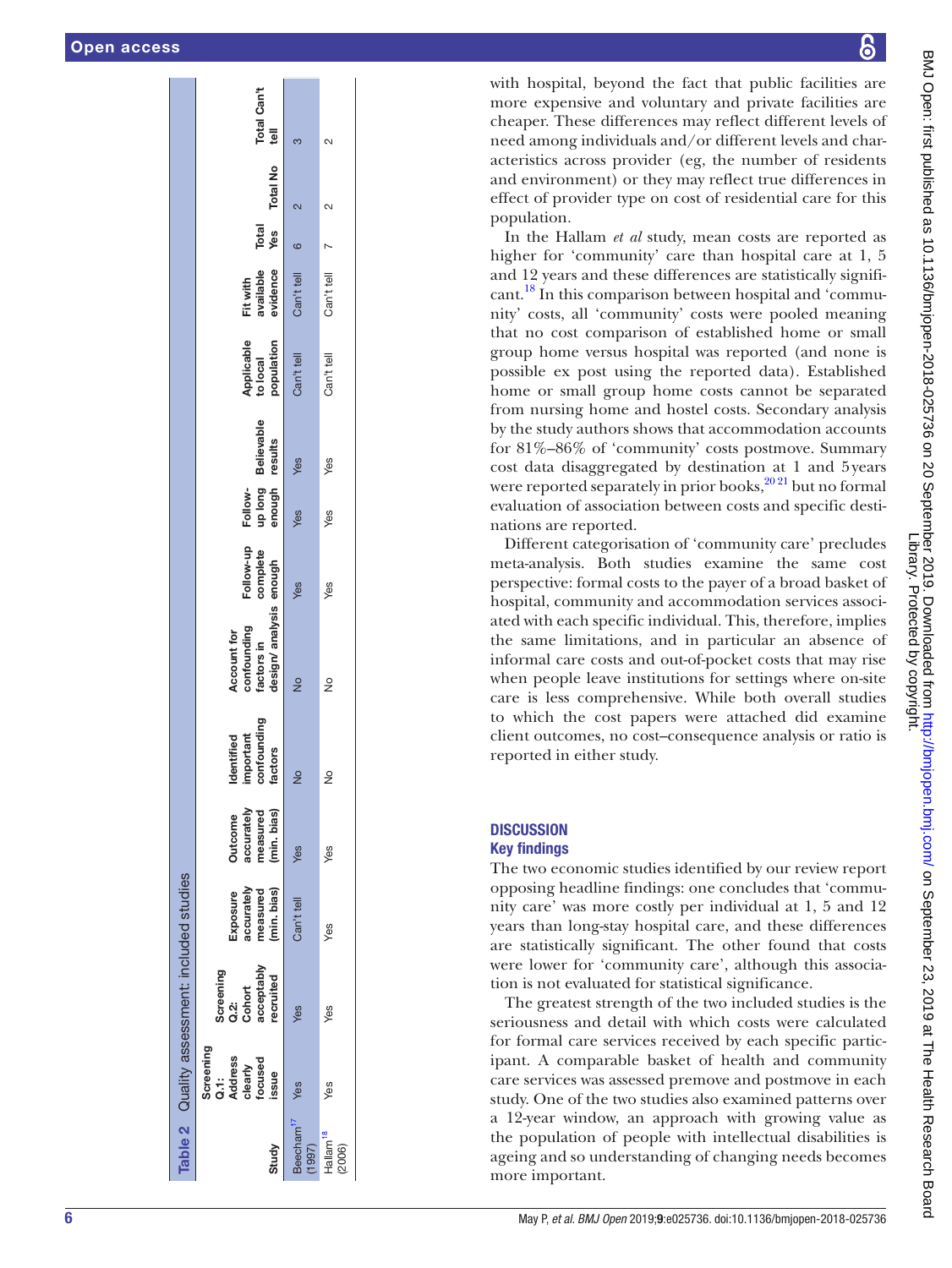|                                              | Total Can't<br>tell                                                                         |                               |                                |  |
|----------------------------------------------|---------------------------------------------------------------------------------------------|-------------------------------|--------------------------------|--|
|                                              | " Total<br>"Yes Total No                                                                    |                               |                                |  |
|                                              |                                                                                             |                               |                                |  |
|                                              | Fit with<br>available<br>evidence                                                           | Can't tell                    | Can't tell                     |  |
|                                              | Applicable<br>to local<br>population                                                        | Can't tell                    | Can't tell                     |  |
|                                              | <b>Believable</b><br>results                                                                | Yes                           | Yes                            |  |
|                                              | Follow-<br>up long<br>enough                                                                | Yes                           | Yes                            |  |
|                                              |                                                                                             | Yes                           | Yes                            |  |
|                                              | Account for<br>confounding Follow-up F<br>factors in complete u<br>design/analysis enough e | $\frac{1}{2}$                 | $\frac{9}{2}$                  |  |
|                                              | Identified<br>important<br>confounding<br>factors                                           | $\frac{1}{2}$                 | $\frac{1}{2}$                  |  |
|                                              | min. bias)<br>accurately<br>neasured<br>Jutcome                                             | Yes                           | Yes                            |  |
|                                              | Exposure<br>accurately<br>measured<br>min. bias)                                            | Can't tell                    | Yes                            |  |
| Table 2 Quality assessment: included studies | Screening<br>Q.2:<br>Cohort<br>acceptably<br>recruited                                      | Yes                           | Yes                            |  |
|                                              | Screening<br>Q.1:<br>Address<br>clearly<br>focused<br>issue                                 | Yes                           | Yes                            |  |
|                                              | Study                                                                                       | seecham <sup>1</sup><br>1997) | Hallam <sup>18</sup><br>(2006) |  |

with hospital, beyond the fact that public facilities are more expensive and voluntary and private facilities are cheaper. These differences may reflect different levels of need among individuals and/or different levels and characteristics across provider (eg, the number of residents and environment) or they may reflect true differences in effect of provider type on cost of residential care for this population.

In the Hallam *et al* study, mean costs are reported as higher for 'community' care than hospital care at 1, 5 and 12 years and these differences are statistically signifi cant.<sup>18</sup> In this comparison between hospital and 'community' costs, all 'community' costs were pooled meaning that no cost comparison of established home or small group home versus hospital was reported (and none is possible ex post using the reported data). Established home or small group home costs cannot be separated from nursing home and hostel costs. Secondary analysis by the study authors shows that accommodation accounts for 81%–86% of 'community' costs postmove. Summary cost data disaggregated by destination at 1 and 5years were reported separately in prior books, $20\frac{20\frac{21}{21}}{20}$  but no formal evaluation of association between costs and specific desti nations are reported.

Different categorisation of 'community care' precludes meta-analysis. Both studies examine the same cost perspective: formal costs to the payer of a broad basket of hospital, community and accommodation services associ ated with each specific individual. This, therefore, implies the same limitations, and in particular an absence of informal care costs and out-of-pocket costs that may rise when people leave institutions for settings where on-site care is less comprehensive. While both overall studies to which the cost papers were attached did examine client outcomes, no cost–consequence analysis or ratio is reported in either study.

# **DISCUSSION**

## Key findings

The two economic studies identified by our review report opposing headline findings: one concludes that 'commu nity care' was more costly per individual at 1, 5 and 12 years than long-stay hospital care, and these differences are statistically significant. The other found that costs were lower for 'community care', although this association is not evaluated for statistical significance.

<span id="page-5-0"></span>The greatest strength of the two included studies is the seriousness and detail with which costs were calculated for formal care services received by each specific partic ipant. A comparable basket of health and community care services was assessed premove and postmove in each study. One of the two studies also examined patterns over a 12-year window, an approach with growing value as the population of people with intellectual disabilities is ageing and so understanding of changing needs becomes more important.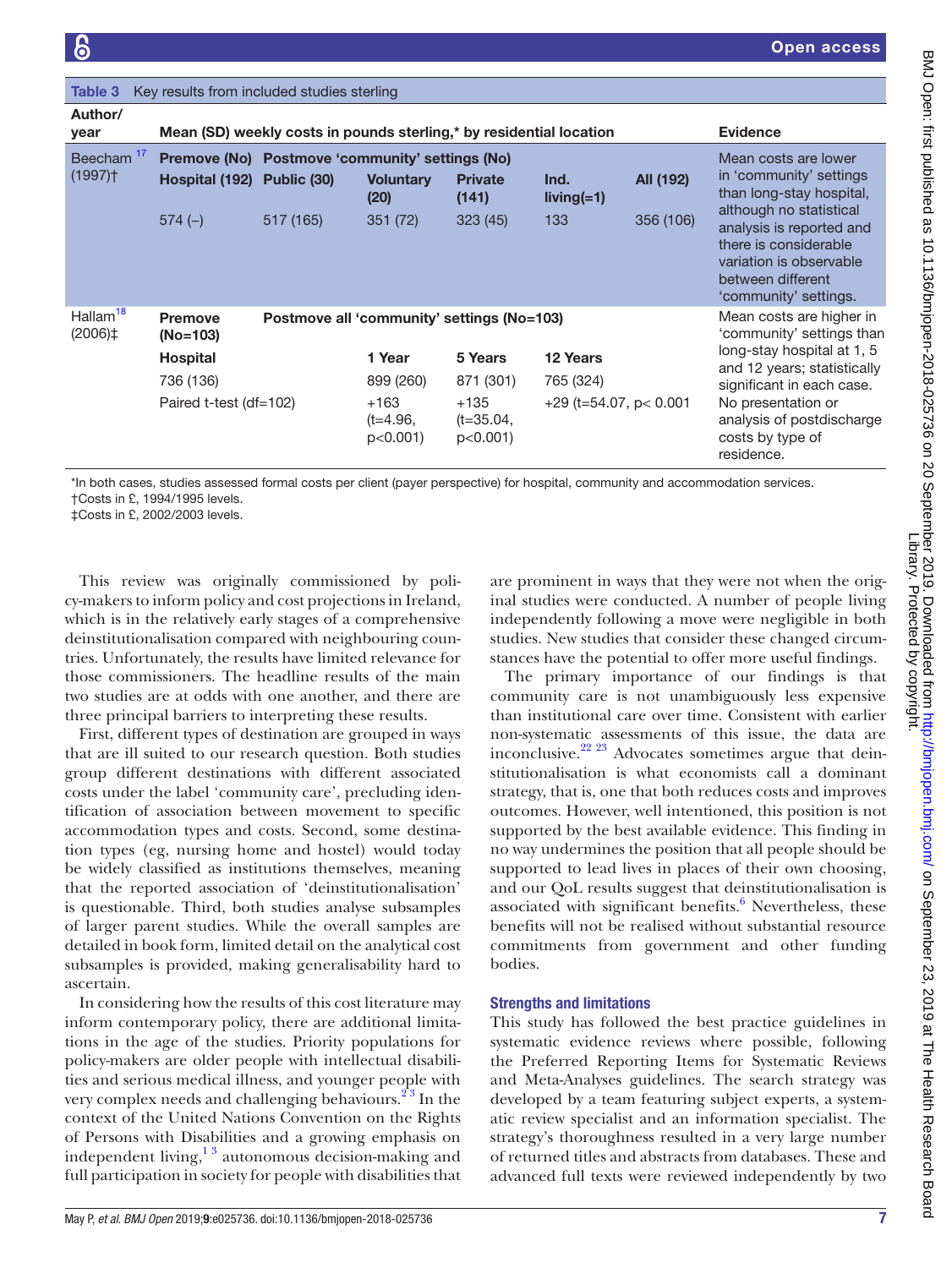<span id="page-6-0"></span>

| Table 3<br>Key results from included studies sterling             |                                                                                        |                                                 |                                 |                                      |                                       |                                                           |                                                                                                                                                                                                                                      |  |  |
|-------------------------------------------------------------------|----------------------------------------------------------------------------------------|-------------------------------------------------|---------------------------------|--------------------------------------|---------------------------------------|-----------------------------------------------------------|--------------------------------------------------------------------------------------------------------------------------------------------------------------------------------------------------------------------------------------|--|--|
| Author/<br>year                                                   | Mean (SD) weekly costs in pounds sterling,* by residential location<br><b>Evidence</b> |                                                 |                                 |                                      |                                       |                                                           |                                                                                                                                                                                                                                      |  |  |
| Beecham <sup>17</sup><br>$(1997)$ <sup>+</sup>                    | Hospital (192) Public (30)                                                             | Premove (No) Postmove 'community' settings (No) | <b>Voluntary</b><br>(20)        | <b>Private</b><br>(141)              | Ind.<br>$Iiving (=1)$                 | All (192)                                                 | Mean costs are lower<br>in 'community' settings<br>than long-stay hospital,<br>although no statistical<br>analysis is reported and<br>there is considerable<br>variation is observable<br>between different<br>'community' settings. |  |  |
|                                                                   | $574(-)$                                                                               | 517 (165)                                       | 351 (72)                        | 323(45)                              | 133                                   | 356 (106)                                                 |                                                                                                                                                                                                                                      |  |  |
| Hallam <sup>18</sup><br>$(2006)$ <sup><math>\ddagger</math></sup> | <b>Premove</b><br>$(No=103)$                                                           | Postmove all 'community' settings (No=103)      |                                 |                                      |                                       |                                                           | Mean costs are higher in<br>'community' settings than                                                                                                                                                                                |  |  |
|                                                                   | <b>Hospital</b>                                                                        |                                                 | 1 Year                          | 12 Years<br>5 Years                  |                                       | long-stay hospital at 1, 5<br>and 12 years; statistically |                                                                                                                                                                                                                                      |  |  |
|                                                                   | 736 (136)                                                                              |                                                 |                                 | 871 (301)                            | 765 (324)<br>$+29$ (t=54.07, p< 0.001 |                                                           | significant in each case.<br>No presentation or<br>analysis of postdischarge<br>costs by type of<br>residence.                                                                                                                       |  |  |
|                                                                   | Paired t-test (df=102)                                                                 |                                                 | $+163$<br>$(t=4.96)$<br>p<0.001 | $+135$<br>$(t=35.04,$<br>$p<0.001$ ) |                                       |                                                           |                                                                                                                                                                                                                                      |  |  |

\*In both cases, studies assessed formal costs per client (payer perspective) for hospital, community and accommodation services. †Costs in £, 1994/1995 levels.

‡Costs in £, 2002/2003 levels.

This review was originally commissioned by policy-makers to inform policy and cost projections in Ireland, which is in the relatively early stages of a comprehensive deinstitutionalisation compared with neighbouring countries. Unfortunately, the results have limited relevance for those commissioners. The headline results of the main two studies are at odds with one another, and there are three principal barriers to interpreting these results.

First, different types of destination are grouped in ways that are ill suited to our research question. Both studies group different destinations with different associated costs under the label 'community care', precluding identification of association between movement to specific accommodation types and costs. Second, some destination types (eg, nursing home and hostel) would today be widely classified as institutions themselves, meaning that the reported association of 'deinstitutionalisation' is questionable. Third, both studies analyse subsamples of larger parent studies. While the overall samples are detailed in book form, limited detail on the analytical cost subsamples is provided, making generalisability hard to ascertain.

In considering how the results of this cost literature may inform contemporary policy, there are additional limitations in the age of the studies. Priority populations for policy-makers are older people with intellectual disabilities and serious medical illness, and younger people with very complex needs and challenging behaviours.<sup>23</sup> In the context of the United Nations Convention on the Rights of Persons with Disabilities and a growing emphasis on independent living, $13$  autonomous decision-making and full participation in society for people with disabilities that

are prominent in ways that they were not when the original studies were conducted. A number of people living independently following a move were negligible in both studies. New studies that consider these changed circumstances have the potential to offer more useful findings.

The primary importance of our findings is that community care is not unambiguously less expensive than institutional care over time. Consistent with earlier non-systematic assessments of this issue, the data are inconclusive.<sup>22 23</sup> Advocates sometimes argue that deinstitutionalisation is what economists call a dominant strategy, that is, one that both reduces costs and improves outcomes. However, well intentioned, this position is not supported by the best available evidence. This finding in no way undermines the position that all people should be supported to lead lives in places of their own choosing, and our QoL results suggest that deinstitutionalisation is associated with significant benefits.<sup>6</sup> Nevertheless, these benefits will not be realised without substantial resource commitments from government and other funding bodies.

# Strengths and limitations

This study has followed the best practice guidelines in systematic evidence reviews where possible, following the Preferred Reporting Items for Systematic Reviews and Meta-Analyses guidelines. The search strategy was developed by a team featuring subject experts, a systematic review specialist and an information specialist. The strategy's thoroughness resulted in a very large number of returned titles and abstracts from databases. These and advanced full texts were reviewed independently by two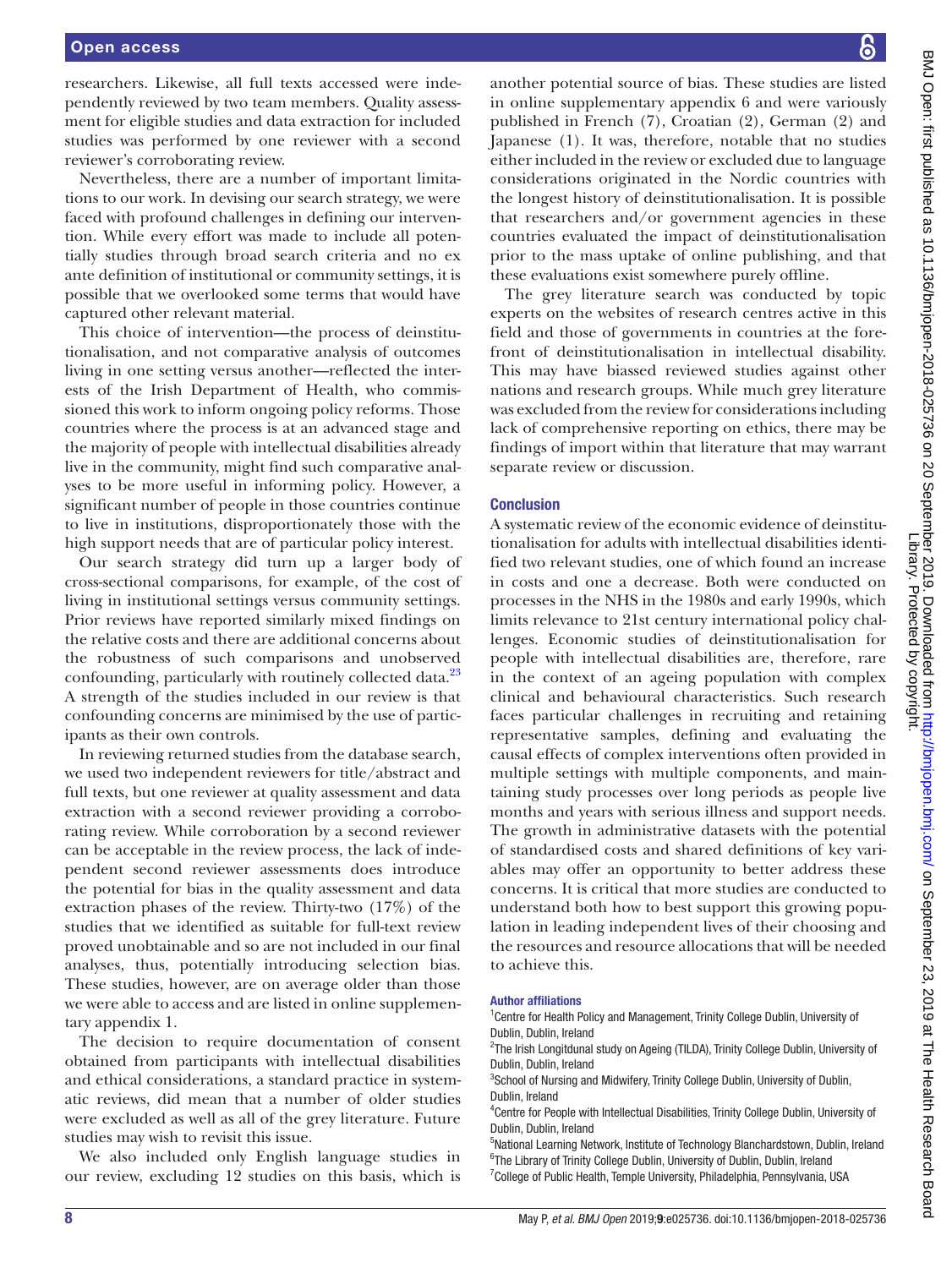researchers. Likewise, all full texts accessed were independently reviewed by two team members. Quality assessment for eligible studies and data extraction for included studies was performed by one reviewer with a second reviewer's corroborating review.

Nevertheless, there are a number of important limitations to our work. In devising our search strategy, we were faced with profound challenges in defining our intervention. While every effort was made to include all potentially studies through broad search criteria and no ex ante definition of institutional or community settings, it is possible that we overlooked some terms that would have captured other relevant material.

This choice of intervention—the process of deinstitutionalisation, and not comparative analysis of outcomes living in one setting versus another—reflected the interests of the Irish Department of Health, who commissioned this work to inform ongoing policy reforms. Those countries where the process is at an advanced stage and the majority of people with intellectual disabilities already live in the community, might find such comparative analyses to be more useful in informing policy. However, a significant number of people in those countries continue to live in institutions, disproportionately those with the high support needs that are of particular policy interest.

Our search strategy did turn up a larger body of cross-sectional comparisons, for example, of the cost of living in institutional settings versus community settings. Prior reviews have reported similarly mixed findings on the relative costs and there are additional concerns about the robustness of such comparisons and unobserved confounding, particularly with routinely collected data.<sup>23</sup> A strength of the studies included in our review is that confounding concerns are minimised by the use of participants as their own controls.

In reviewing returned studies from the database search, we used two independent reviewers for title/abstract and full texts, but one reviewer at quality assessment and data extraction with a second reviewer providing a corroborating review. While corroboration by a second reviewer can be acceptable in the review process, the lack of independent second reviewer assessments does introduce the potential for bias in the quality assessment and data extraction phases of the review. Thirty-two (17%) of the studies that we identified as suitable for full-text review proved unobtainable and so are not included in our final analyses, thus, potentially introducing selection bias. These studies, however, are on average older than those we were able to access and are listed in [online supplemen](https://dx.doi.org/10.1136/bmjopen-2018-025736)[tary appendix 1](https://dx.doi.org/10.1136/bmjopen-2018-025736).

The decision to require documentation of consent obtained from participants with intellectual disabilities and ethical considerations, a standard practice in systematic reviews, did mean that a number of older studies were excluded as well as all of the grey literature. Future studies may wish to revisit this issue.

We also included only English language studies in our review, excluding 12 studies on this basis, which is

another potential source of bias. These studies are listed in [online supplementary appendix 6](https://dx.doi.org/10.1136/bmjopen-2018-025736) and were variously published in French (7), Croatian (2), German (2) and Japanese (1). It was, therefore, notable that no studies either included in the review or excluded due to language considerations originated in the Nordic countries with the longest history of deinstitutionalisation. It is possible that researchers and/or government agencies in these countries evaluated the impact of deinstitutionalisation prior to the mass uptake of online publishing, and that these evaluations exist somewhere purely offline.

The grey literature search was conducted by topic experts on the websites of research centres active in this field and those of governments in countries at the forefront of deinstitutionalisation in intellectual disability. This may have biassed reviewed studies against other nations and research groups. While much grey literature was excluded from the review for considerations including lack of comprehensive reporting on ethics, there may be findings of import within that literature that may warrant separate review or discussion.

## **Conclusion**

A systematic review of the economic evidence of deinstitutionalisation for adults with intellectual disabilities identified two relevant studies, one of which found an increase in costs and one a decrease. Both were conducted on processes in the NHS in the 1980s and early 1990s, which limits relevance to 21st century international policy challenges. Economic studies of deinstitutionalisation for people with intellectual disabilities are, therefore, rare in the context of an ageing population with complex clinical and behavioural characteristics. Such research faces particular challenges in recruiting and retaining representative samples, defining and evaluating the causal effects of complex interventions often provided in multiple settings with multiple components, and maintaining study processes over long periods as people live months and years with serious illness and support needs. The growth in administrative datasets with the potential of standardised costs and shared definitions of key variables may offer an opportunity to better address these concerns. It is critical that more studies are conducted to understand both how to best support this growing population in leading independent lives of their choosing and the resources and resource allocations that will be needed to achieve this.

#### Author affiliations

<sup>1</sup> Centre for Health Policy and Management, Trinity College Dublin, University of Dublin, Dublin, Ireland

<sup>2</sup>The Irish Longitdunal study on Ageing (TILDA), Trinity College Dublin, University of Dublin, Dublin, Ireland

<sup>3</sup>School of Nursing and Midwifery, Trinity College Dublin, University of Dublin, Dublin, Ireland

<sup>4</sup>Centre for People with Intellectual Disabilities, Trinity College Dublin, University of Dublin, Dublin, Ireland

<sup>5</sup>National Learning Network, Institute of Technology Blanchardstown, Dublin, Ireland <sup>6</sup>The Library of Trinity College Dublin, University of Dublin, Dublin, Ireland <sup>7</sup>College of Public Health, Temple University, Philadelphia, Pennsylvania, USA